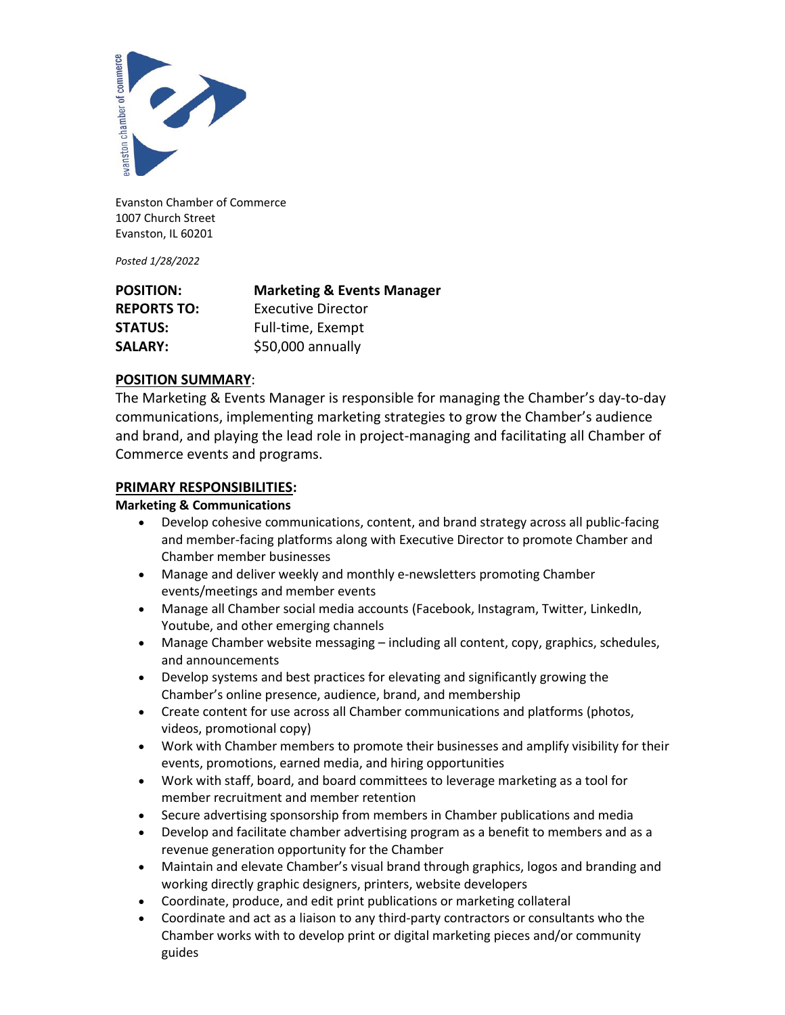

Evanston Chamber of Commerce 1007 Church Street Evanston, IL 60201

*Posted 1/28/2022*

| <b>POSITION:</b>   | <b>Marketing &amp; Events Manager</b> |
|--------------------|---------------------------------------|
| <b>REPORTS TO:</b> | Executive Director                    |
| <b>STATUS:</b>     | Full-time, Exempt                     |
| <b>SALARY:</b>     | \$50,000 annually                     |

# **POSITION SUMMARY**:

The Marketing & Events Manager is responsible for managing the Chamber's day-to-day communications, implementing marketing strategies to grow the Chamber's audience and brand, and playing the lead role in project-managing and facilitating all Chamber of Commerce events and programs.

# **PRIMARY RESPONSIBILITIES:**

## **Marketing & Communications**

- Develop cohesive communications, content, and brand strategy across all public-facing and member-facing platforms along with Executive Director to promote Chamber and Chamber member businesses
- Manage and deliver weekly and monthly e-newsletters promoting Chamber events/meetings and member events
- Manage all Chamber social media accounts (Facebook, Instagram, Twitter, LinkedIn, Youtube, and other emerging channels
- Manage Chamber website messaging including all content, copy, graphics, schedules, and announcements
- Develop systems and best practices for elevating and significantly growing the Chamber's online presence, audience, brand, and membership
- Create content for use across all Chamber communications and platforms (photos, videos, promotional copy)
- Work with Chamber members to promote their businesses and amplify visibility for their events, promotions, earned media, and hiring opportunities
- Work with staff, board, and board committees to leverage marketing as a tool for member recruitment and member retention
- Secure advertising sponsorship from members in Chamber publications and media
- Develop and facilitate chamber advertising program as a benefit to members and as a revenue generation opportunity for the Chamber
- Maintain and elevate Chamber's visual brand through graphics, logos and branding and working directly graphic designers, printers, website developers
- Coordinate, produce, and edit print publications or marketing collateral
- Coordinate and act as a liaison to any third-party contractors or consultants who the Chamber works with to develop print or digital marketing pieces and/or community guides